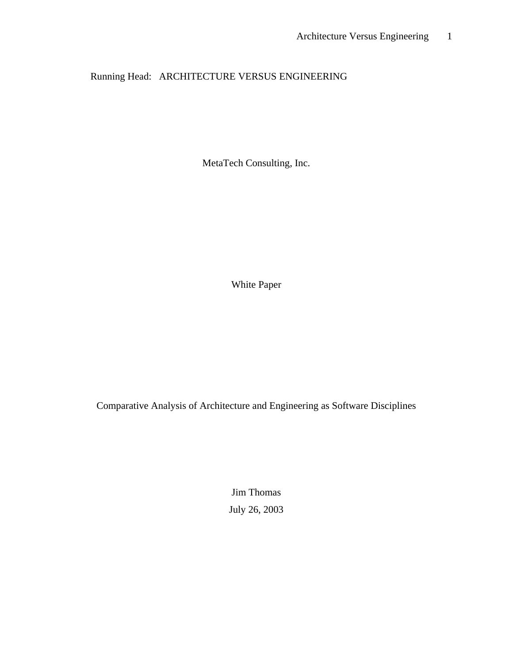Running Head: ARCHITECTURE VERSUS ENGINEERING

MetaTech Consulting, Inc.

White Paper

Comparative Analysis of Architecture and Engineering as Software Disciplines

Jim Thomas July 26, 2003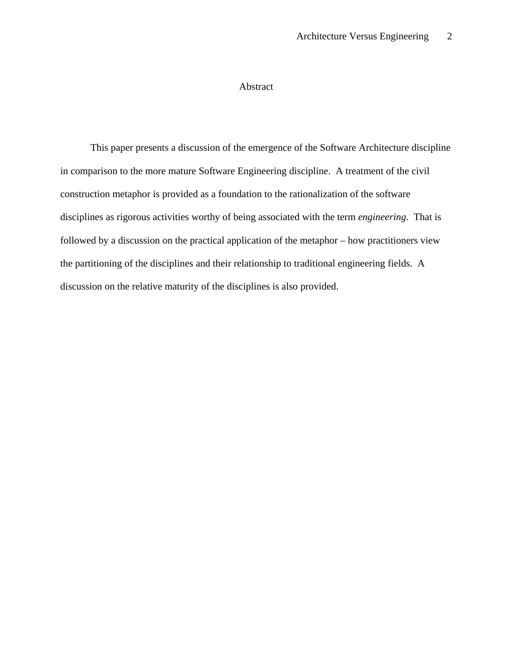## Abstract

This paper presents a discussion of the emergence of the Software Architecture discipline in comparison to the more mature Software Engineering discipline. A treatment of the civil construction metaphor is provided as a foundation to the rationalization of the software disciplines as rigorous activities worthy of being associated with the term *engineering*. That is followed by a discussion on the practical application of the metaphor – how practitioners view the partitioning of the disciplines and their relationship to traditional engineering fields. A discussion on the relative maturity of the disciplines is also provided.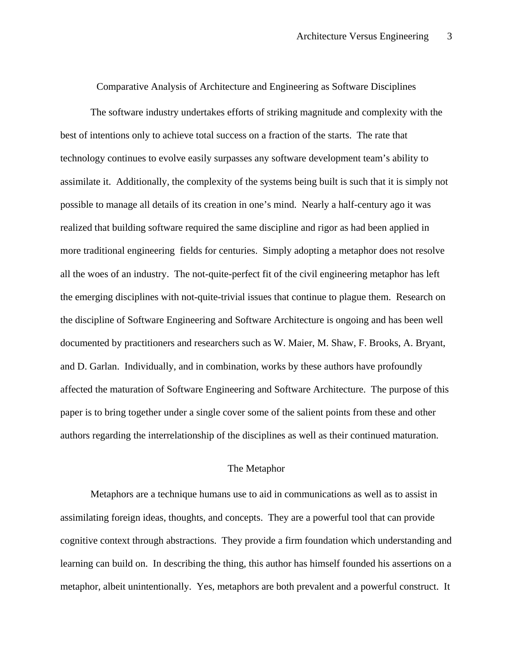Comparative Analysis of Architecture and Engineering as Software Disciplines

The software industry undertakes efforts of striking magnitude and complexity with the best of intentions only to achieve total success on a fraction of the starts. The rate that technology continues to evolve easily surpasses any software development team's ability to assimilate it. Additionally, the complexity of the systems being built is such that it is simply not possible to manage all details of its creation in one's mind. Nearly a half-century ago it was realized that building software required the same discipline and rigor as had been applied in more traditional engineering fields for centuries. Simply adopting a metaphor does not resolve all the woes of an industry. The not-quite-perfect fit of the civil engineering metaphor has left the emerging disciplines with not-quite-trivial issues that continue to plague them. Research on the discipline of Software Engineering and Software Architecture is ongoing and has been well documented by practitioners and researchers such as W. Maier, M. Shaw, F. Brooks, A. Bryant, and D. Garlan. Individually, and in combination, works by these authors have profoundly affected the maturation of Software Engineering and Software Architecture. The purpose of this paper is to bring together under a single cover some of the salient points from these and other authors regarding the interrelationship of the disciplines as well as their continued maturation.

#### The Metaphor

Metaphors are a technique humans use to aid in communications as well as to assist in assimilating foreign ideas, thoughts, and concepts. They are a powerful tool that can provide cognitive context through abstractions. They provide a firm foundation which understanding and learning can build on. In describing the thing, this author has himself founded his assertions on a metaphor, albeit unintentionally. Yes, metaphors are both prevalent and a powerful construct. It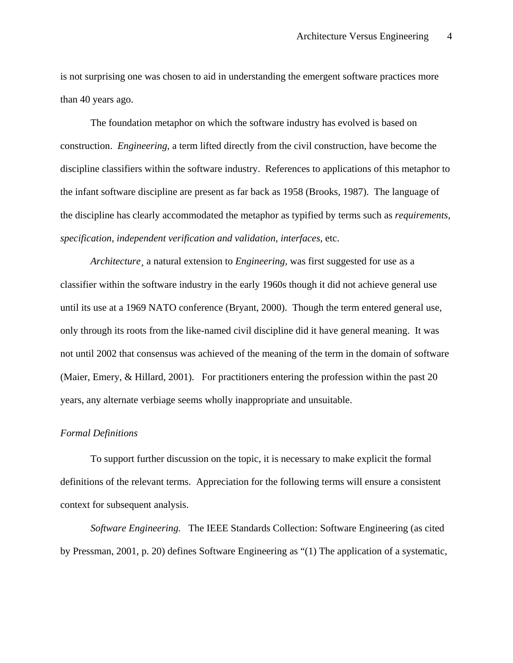is not surprising one was chosen to aid in understanding the emergent software practices more than 40 years ago.

The foundation metaphor on which the software industry has evolved is based on construction. *Engineering,* a term lifted directly from the civil construction, have become the discipline classifiers within the software industry. References to applications of this metaphor to the infant software discipline are present as far back as 1958 (Brooks, 1987). The language of the discipline has clearly accommodated the metaphor as typified by terms such as *requirements, specification, independent verification and validation, interfaces,* etc.

*Architecture¸* a natural extension to *Engineering,* was first suggested for use as a classifier within the software industry in the early 1960s though it did not achieve general use until its use at a 1969 NATO conference (Bryant, 2000). Though the term entered general use, only through its roots from the like-named civil discipline did it have general meaning. It was not until 2002 that consensus was achieved of the meaning of the term in the domain of software (Maier, Emery, & Hillard, 2001). For practitioners entering the profession within the past 20 years, any alternate verbiage seems wholly inappropriate and unsuitable.

## *Formal Definitions*

To support further discussion on the topic, it is necessary to make explicit the formal definitions of the relevant terms. Appreciation for the following terms will ensure a consistent context for subsequent analysis.

*Software Engineering.* The IEEE Standards Collection: Software Engineering (as cited by Pressman, 2001, p. 20) defines Software Engineering as "(1) The application of a systematic,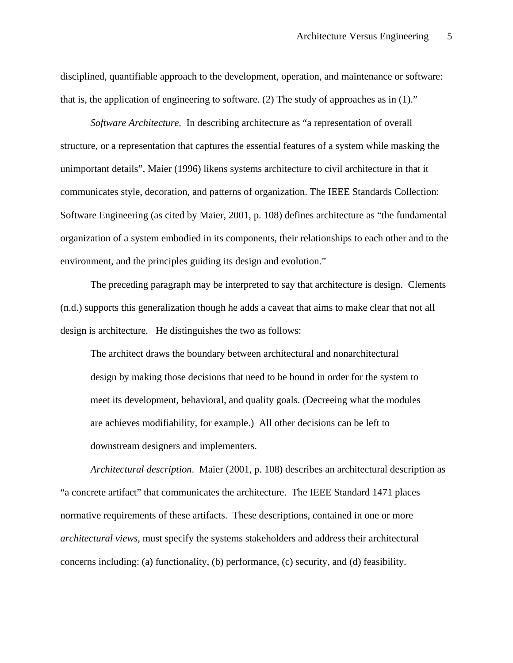disciplined, quantifiable approach to the development, operation, and maintenance or software: that is, the application of engineering to software. (2) The study of approaches as in (1)."

*Software Architecture.* In describing architecture as "a representation of overall structure, or a representation that captures the essential features of a system while masking the unimportant details", Maier (1996) likens systems architecture to civil architecture in that it communicates style, decoration, and patterns of organization. The IEEE Standards Collection: Software Engineering (as cited by Maier, 2001, p. 108) defines architecture as "the fundamental organization of a system embodied in its components, their relationships to each other and to the environment, and the principles guiding its design and evolution."

The preceding paragraph may be interpreted to say that architecture is design. Clements (n.d.) supports this generalization though he adds a caveat that aims to make clear that not all design is architecture. He distinguishes the two as follows:

The architect draws the boundary between architectural and nonarchitectural design by making those decisions that need to be bound in order for the system to meet its development, behavioral, and quality goals. (Decreeing what the modules are achieves modifiability, for example.) All other decisions can be left to downstream designers and implementers.

*Architectural description*. Maier (2001, p. 108) describes an architectural description as "a concrete artifact" that communicates the architecture. The IEEE Standard 1471 places normative requirements of these artifacts. These descriptions, contained in one or more *architectural views*, must specify the systems stakeholders and address their architectural concerns including: (a) functionality, (b) performance, (c) security, and (d) feasibility.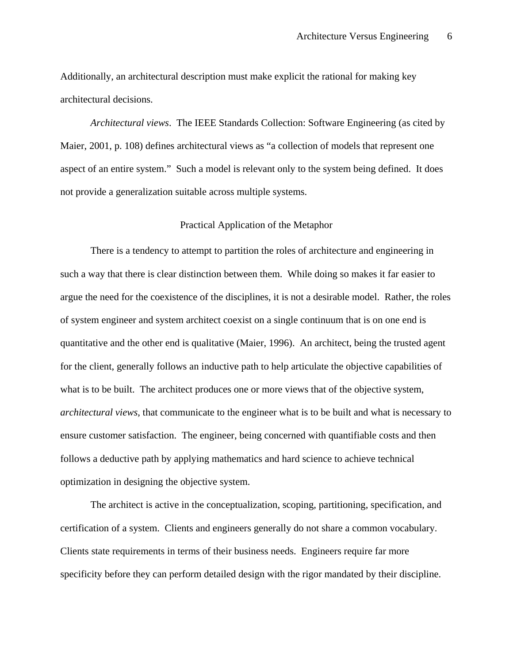Additionally, an architectural description must make explicit the rational for making key architectural decisions.

*Architectural views*. The IEEE Standards Collection: Software Engineering (as cited by Maier, 2001, p. 108) defines architectural views as "a collection of models that represent one aspect of an entire system." Such a model is relevant only to the system being defined. It does not provide a generalization suitable across multiple systems.

### Practical Application of the Metaphor

There is a tendency to attempt to partition the roles of architecture and engineering in such a way that there is clear distinction between them. While doing so makes it far easier to argue the need for the coexistence of the disciplines, it is not a desirable model. Rather, the roles of system engineer and system architect coexist on a single continuum that is on one end is quantitative and the other end is qualitative (Maier, 1996). An architect, being the trusted agent for the client, generally follows an inductive path to help articulate the objective capabilities of what is to be built. The architect produces one or more views that of the objective system, *architectural views*, that communicate to the engineer what is to be built and what is necessary to ensure customer satisfaction. The engineer, being concerned with quantifiable costs and then follows a deductive path by applying mathematics and hard science to achieve technical optimization in designing the objective system.

The architect is active in the conceptualization, scoping, partitioning, specification, and certification of a system. Clients and engineers generally do not share a common vocabulary. Clients state requirements in terms of their business needs. Engineers require far more specificity before they can perform detailed design with the rigor mandated by their discipline.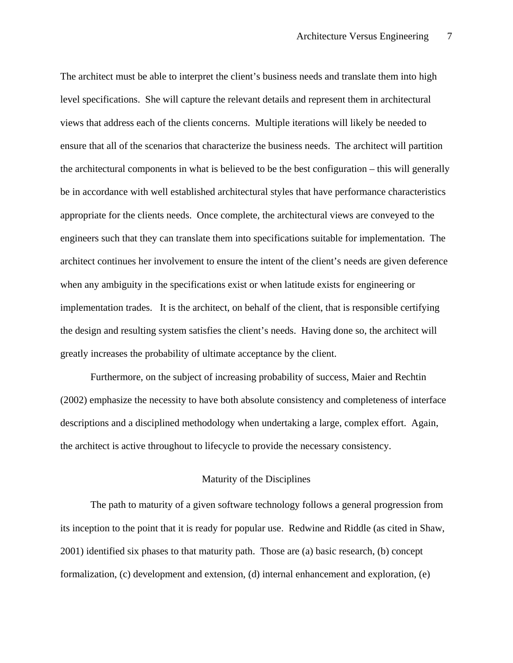The architect must be able to interpret the client's business needs and translate them into high level specifications. She will capture the relevant details and represent them in architectural views that address each of the clients concerns. Multiple iterations will likely be needed to ensure that all of the scenarios that characterize the business needs. The architect will partition the architectural components in what is believed to be the best configuration – this will generally be in accordance with well established architectural styles that have performance characteristics appropriate for the clients needs. Once complete, the architectural views are conveyed to the engineers such that they can translate them into specifications suitable for implementation. The architect continues her involvement to ensure the intent of the client's needs are given deference when any ambiguity in the specifications exist or when latitude exists for engineering or implementation trades. It is the architect, on behalf of the client, that is responsible certifying the design and resulting system satisfies the client's needs. Having done so, the architect will greatly increases the probability of ultimate acceptance by the client.

Furthermore, on the subject of increasing probability of success, Maier and Rechtin (2002) emphasize the necessity to have both absolute consistency and completeness of interface descriptions and a disciplined methodology when undertaking a large, complex effort. Again, the architect is active throughout to lifecycle to provide the necessary consistency.

# Maturity of the Disciplines

The path to maturity of a given software technology follows a general progression from its inception to the point that it is ready for popular use. Redwine and Riddle (as cited in Shaw, 2001) identified six phases to that maturity path. Those are (a) basic research, (b) concept formalization, (c) development and extension, (d) internal enhancement and exploration, (e)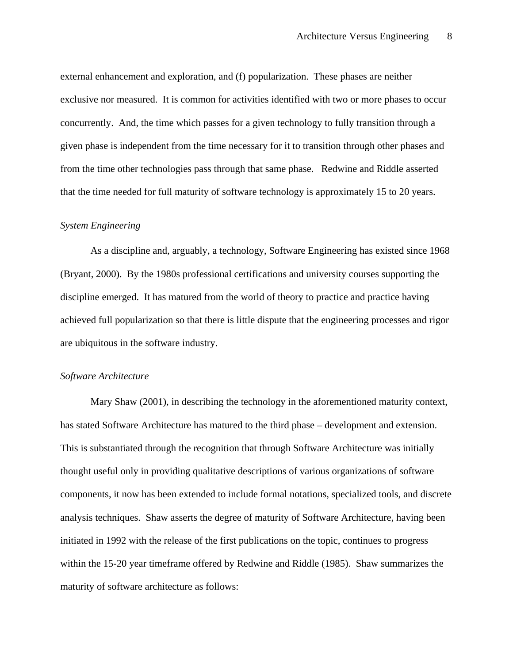external enhancement and exploration, and (f) popularization. These phases are neither exclusive nor measured. It is common for activities identified with two or more phases to occur concurrently. And, the time which passes for a given technology to fully transition through a given phase is independent from the time necessary for it to transition through other phases and from the time other technologies pass through that same phase. Redwine and Riddle asserted that the time needed for full maturity of software technology is approximately 15 to 20 years.

## *System Engineering*

As a discipline and, arguably, a technology, Software Engineering has existed since 1968 (Bryant, 2000). By the 1980s professional certifications and university courses supporting the discipline emerged. It has matured from the world of theory to practice and practice having achieved full popularization so that there is little dispute that the engineering processes and rigor are ubiquitous in the software industry.

## *Software Architecture*

Mary Shaw (2001), in describing the technology in the aforementioned maturity context, has stated Software Architecture has matured to the third phase – development and extension. This is substantiated through the recognition that through Software Architecture was initially thought useful only in providing qualitative descriptions of various organizations of software components, it now has been extended to include formal notations, specialized tools, and discrete analysis techniques. Shaw asserts the degree of maturity of Software Architecture, having been initiated in 1992 with the release of the first publications on the topic, continues to progress within the 15-20 year timeframe offered by Redwine and Riddle (1985). Shaw summarizes the maturity of software architecture as follows: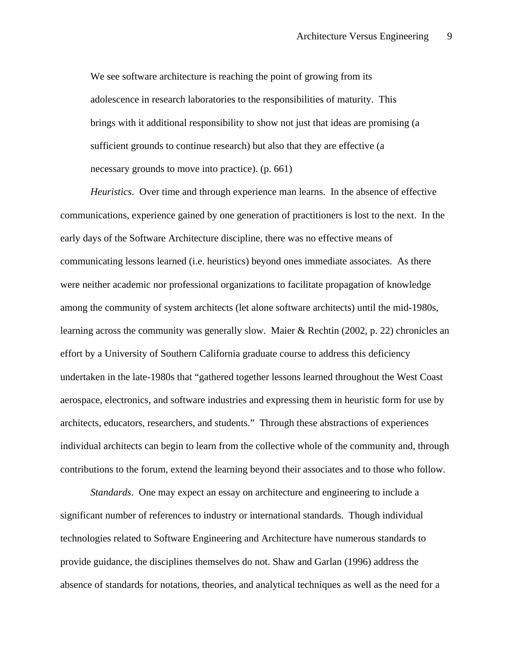We see software architecture is reaching the point of growing from its adolescence in research laboratories to the responsibilities of maturity. This brings with it additional responsibility to show not just that ideas are promising (a sufficient grounds to continue research) but also that they are effective (a necessary grounds to move into practice). (p. 661)

*Heuristics*. Over time and through experience man learns. In the absence of effective communications, experience gained by one generation of practitioners is lost to the next. In the early days of the Software Architecture discipline, there was no effective means of communicating lessons learned (i.e. heuristics) beyond ones immediate associates. As there were neither academic nor professional organizations to facilitate propagation of knowledge among the community of system architects (let alone software architects) until the mid-1980s, learning across the community was generally slow. Maier & Rechtin (2002, p. 22) chronicles an effort by a University of Southern California graduate course to address this deficiency undertaken in the late-1980s that "gathered together lessons learned throughout the West Coast aerospace, electronics, and software industries and expressing them in heuristic form for use by architects, educators, researchers, and students." Through these abstractions of experiences individual architects can begin to learn from the collective whole of the community and, through contributions to the forum, extend the learning beyond their associates and to those who follow.

*Standards*. One may expect an essay on architecture and engineering to include a significant number of references to industry or international standards. Though individual technologies related to Software Engineering and Architecture have numerous standards to provide guidance, the disciplines themselves do not. Shaw and Garlan (1996) address the absence of standards for notations, theories, and analytical techniques as well as the need for a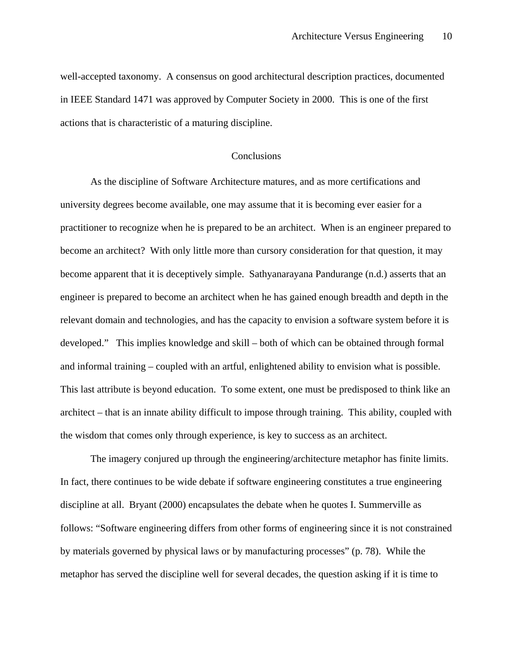well-accepted taxonomy. A consensus on good architectural description practices, documented in IEEE Standard 1471 was approved by Computer Society in 2000. This is one of the first actions that is characteristic of a maturing discipline.

# Conclusions

As the discipline of Software Architecture matures, and as more certifications and university degrees become available, one may assume that it is becoming ever easier for a practitioner to recognize when he is prepared to be an architect. When is an engineer prepared to become an architect? With only little more than cursory consideration for that question, it may become apparent that it is deceptively simple. Sathyanarayana Pandurange (n.d.) asserts that an engineer is prepared to become an architect when he has gained enough breadth and depth in the relevant domain and technologies, and has the capacity to envision a software system before it is developed." This implies knowledge and skill – both of which can be obtained through formal and informal training – coupled with an artful, enlightened ability to envision what is possible. This last attribute is beyond education. To some extent, one must be predisposed to think like an architect – that is an innate ability difficult to impose through training. This ability, coupled with the wisdom that comes only through experience, is key to success as an architect.

The imagery conjured up through the engineering/architecture metaphor has finite limits. In fact, there continues to be wide debate if software engineering constitutes a true engineering discipline at all. Bryant (2000) encapsulates the debate when he quotes I. Summerville as follows: "Software engineering differs from other forms of engineering since it is not constrained by materials governed by physical laws or by manufacturing processes" (p. 78). While the metaphor has served the discipline well for several decades, the question asking if it is time to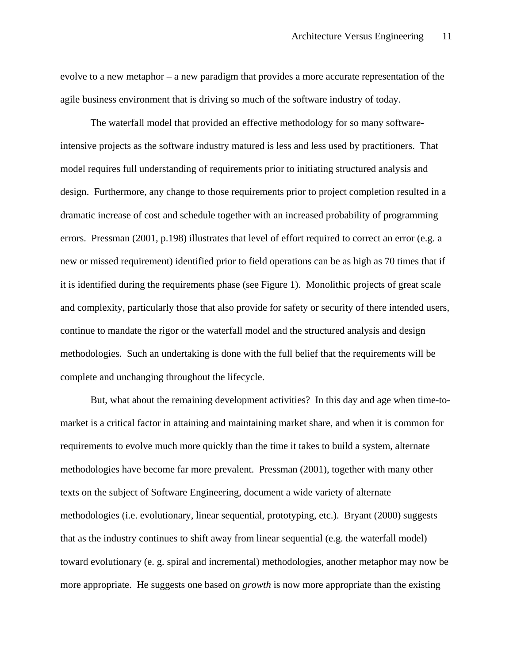evolve to a new metaphor – a new paradigm that provides a more accurate representation of the agile business environment that is driving so much of the software industry of today.

The waterfall model that provided an effective methodology for so many softwareintensive projects as the software industry matured is less and less used by practitioners. That model requires full understanding of requirements prior to initiating structured analysis and design. Furthermore, any change to those requirements prior to project completion resulted in a dramatic increase of cost and schedule together with an increased probability of programming errors. Pressman (2001, p.198) illustrates that level of effort required to correct an error (e.g. a new or missed requirement) identified prior to field operations can be as high as 70 times that if it is identified during the requirements phase (see Figure 1). Monolithic projects of great scale and complexity, particularly those that also provide for safety or security of there intended users, continue to mandate the rigor or the waterfall model and the structured analysis and design methodologies. Such an undertaking is done with the full belief that the requirements will be complete and unchanging throughout the lifecycle.

But, what about the remaining development activities? In this day and age when time-tomarket is a critical factor in attaining and maintaining market share, and when it is common for requirements to evolve much more quickly than the time it takes to build a system, alternate methodologies have become far more prevalent. Pressman (2001), together with many other texts on the subject of Software Engineering, document a wide variety of alternate methodologies (i.e. evolutionary, linear sequential, prototyping, etc.). Bryant (2000) suggests that as the industry continues to shift away from linear sequential (e.g. the waterfall model) toward evolutionary (e. g. spiral and incremental) methodologies, another metaphor may now be more appropriate. He suggests one based on *growth* is now more appropriate than the existing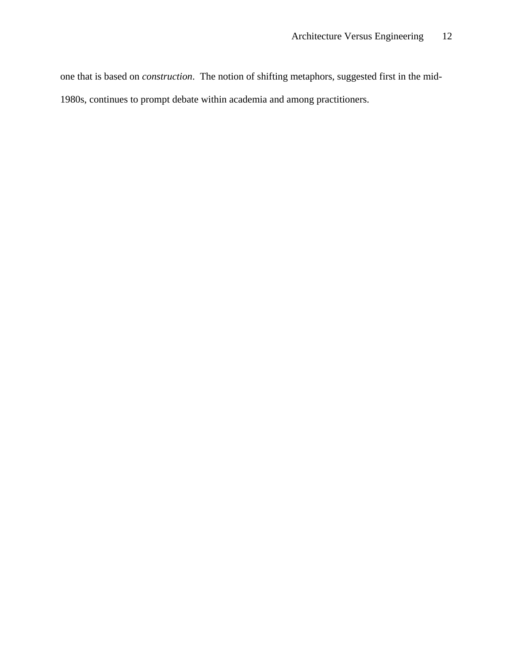one that is based on *construction*. The notion of shifting metaphors, suggested first in the mid-

1980s, continues to prompt debate within academia and among practitioners.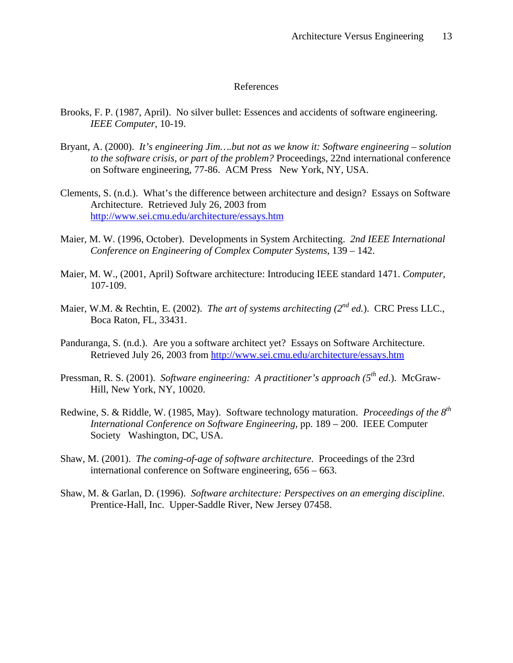#### References

- Brooks, F. P. (1987, April). No silver bullet: Essences and accidents of software engineering. *IEEE Computer*, 10-19.
- Bryant, A. (2000). *It's engineering Jim….but not as we know it: Software engineering solution to the software crisis, or part of the problem?* Proceedings, 22nd international conference on Software engineering, 77-86. ACM Press New York, NY, USA.
- Clements, S. (n.d.). What's the difference between architecture and design? Essays on Software Architecture. Retrieved July 26, 2003 from http://www.sei.cmu.edu/architecture/essays.htm
- Maier, M. W. (1996, October). Developments in System Architecting. *2nd IEEE International Conference on Engineering of Complex Computer Systems*, 139 – 142.
- Maier, M. W., (2001, April) Software architecture: Introducing IEEE standard 1471. *Computer*, 107-109.
- Maier, W.M. & Rechtin, E. (2002). *The art of systems architecting (2<sup>nd</sup> ed.*). CRC Press LLC., Boca Raton, FL, 33431.
- Panduranga, S. (n.d.). Are you a software architect yet? Essays on Software Architecture. Retrieved July 26, 2003 from http://www.sei.cmu.edu/architecture/essays.htm
- Pressman, R. S. (2001). *Software engineering: A practitioner's approach (5th ed*.). McGraw-Hill, New York, NY, 10020.
- Redwine, S. & Riddle, W. (1985, May). Software technology maturation. *Proceedings of the 8th International Conference on Software Engineering*, pp. 189 – 200. IEEE Computer Society Washington, DC, USA.
- Shaw, M. (2001). *The coming-of-age of software architecture*. Proceedings of the 23rd international conference on Software engineering, 656 – 663.
- Shaw, M. & Garlan, D. (1996). *Software architecture: Perspectives on an emerging discipline*. Prentice-Hall, Inc. Upper-Saddle River, New Jersey 07458.